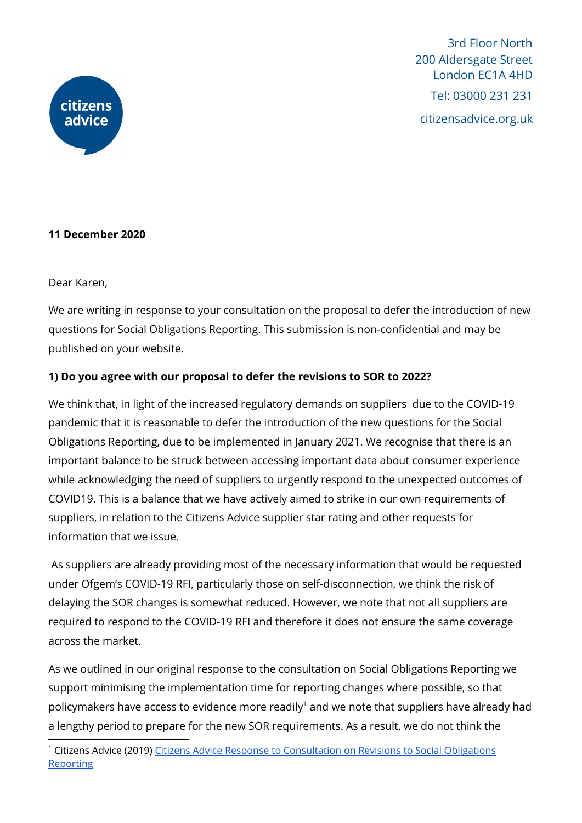

3rd Floor North 200 Aldersgate Street London EC1A 4HD Tel: 03000 231 231 citizensadvice.org.uk

## **11 December 2020**

Dear Karen,

We are writing in response to your consultation on the proposal to defer the introduction of new questions for Social Obligations Reporting. This submission is non-confidential and may be published on your website.

## **1) Do you agree with our proposal to defer the revisions to SOR to 2022?**

We think that, in light of the increased regulatory demands on suppliers due to the COVID-19 pandemic that it is reasonable to defer the introduction of the new questions for the Social Obligations Reporting, due to be implemented in January 2021. We recognise that there is an important balance to be struck between accessing important data about consumer experience while acknowledging the need of suppliers to urgently respond to the unexpected outcomes of COVID19. This is a balance that we have actively aimed to strike in our own requirements of suppliers, in relation to the Citizens Advice supplier star rating and other requests for information that we issue.

As suppliers are already providing most of the necessary information that would be requested under Ofgem's COVID-19 RFI, particularly those on self-disconnection, we think the risk of delaying the SOR changes is somewhat reduced. However, we note that not all suppliers are required to respond to the COVID-19 RFI and therefore it does not ensure the same coverage across the market.

As we outlined in our original response to the consultation on Social Obligations Reporting we support minimising the implementation time for reporting changes where possible, so that policymakers have access to evidence more readily<sup>1</sup> and we note that suppliers have already had a lengthy period to prepare for the new SOR requirements. As a result, we do not think the

<sup>&</sup>lt;sup>1</sup> Citizens Advice (2019) Citizens Advice Response to [Consultation](https://www.citizensadvice.org.uk/Global/CitizensAdvice/Energy/Energy%20Consultation%20responses/Citizens%20Advice%20response%20to%20Consultation%20on%20Revisions%20to%20Social%20Obligations%20Reporting.pdf) on Revisions to Social Obligations **[Reporting](https://www.citizensadvice.org.uk/Global/CitizensAdvice/Energy/Energy%20Consultation%20responses/Citizens%20Advice%20response%20to%20Consultation%20on%20Revisions%20to%20Social%20Obligations%20Reporting.pdf)**